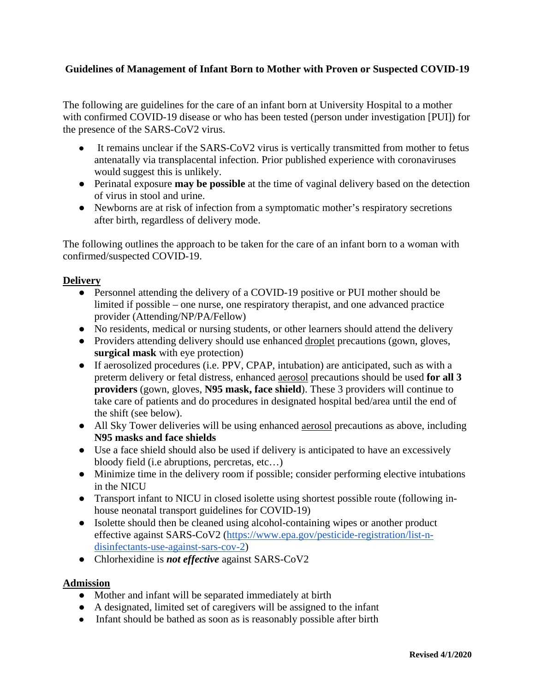# **Guidelines of Management of Infant Born to Mother with Proven or Suspected COVID-19**

 The following are guidelines for the care of an infant born at University Hospital to a mother Ì with confirmed COVID-19 disease or who has been tested (person under investigation [PUI]) for the presence of the SARS-CoV2 virus.

- It remains unclear if the SARS-CoV2 virus is vertically transmitted from mother to fetus antenatally via transplacental infection. Prior published experience with coronaviruses would suggest this is unlikely.
- ● Perinatal exposure **may be possible** at the time of vaginal delivery based on the detection of virus in stool and urine.
- Newborns are at risk of infection from a symptomatic mother's respiratory secretions after birth, regardless of delivery mode.

The following outlines the approach to be taken for the care of an infant born to a woman with confirmed/suspected COVID-19.

# **Delivery**

- limited if possible one nurse, one respiratory therapist, and one advanced practice ● Personnel attending the delivery of a COVID-19 positive or PUI mother should be provider (Attending/NP/PA/Fellow)
- No residents, medical or nursing students, or other learners should attend the delivery
- Providers attending delivery should use enhanced droplet precautions (gown, gloves, **surgical mask** with eye protection)
- take care of patients and do procedures in designated hospital bed/area until the end of ● If aerosolized procedures (i.e. PPV, CPAP, intubation) are anticipated, such as with a preterm delivery or fetal distress, enhanced aerosol precautions should be used **for all 3 providers** (gown, gloves, **N95 mask, face shield**). These 3 providers will continue to the shift (see below).
- All Sky Tower deliveries will be using enhanced aerosol precautions as above, including **N95 masks and face shields**
- Use a face shield should also be used if delivery is anticipated to have an excessively bloody field (i.e abruptions, percretas, etc…)
- Minimize time in the delivery room if possible; consider performing elective intubations in the NICU
- ● Transport infant to NICU in closed isolette using shortest possible route (following in-house neonatal transport guidelines for COVID-19)
- Isolette should then be cleaned using alcohol-containing wipes or another product effective against SARS-CoV2 [\(https://www.epa.gov/pesticide-registration/list-n](https://www.epa.gov/pesticide-registration/list-n-disinfectants-use-against-sars-cov-2)[disinfectants-use-against-sars-cov-2\)](https://www.epa.gov/pesticide-registration/list-n-disinfectants-use-against-sars-cov-2)
- Chlorhexidine is *not effective* against SARS-CoV2

# **Admission**

- Mother and infant will be separated immediately at birth
- A designated, limited set of caregivers will be assigned to the infant
- Infant should be bathed as soon as is reasonably possible after birth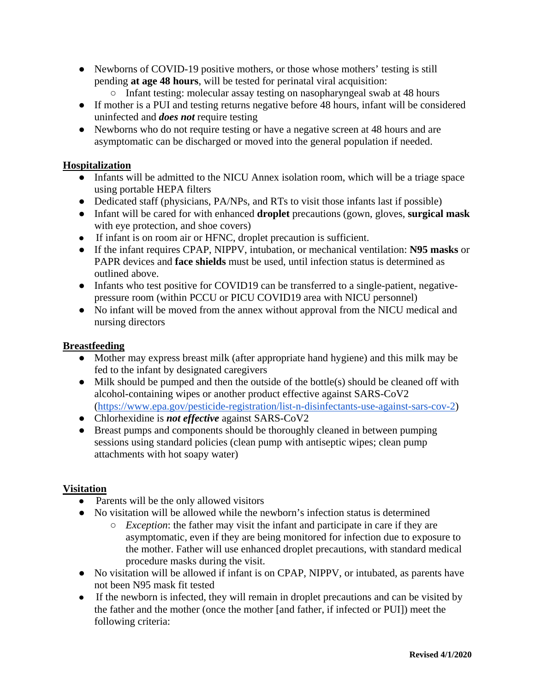- Newborns of COVID-19 positive mothers, or those whose mothers' testing is still pending **at age 48 hours**, will be tested for perinatal viral acquisition:
	- Infant testing: molecular assay testing on nasopharyngeal swab at 48 hours
- ● If mother is a PUI and testing returns negative before 48 hours, infant will be considered uninfected and *does not* require testing
- Newborns who do not require testing or have a negative screen at 48 hours and are asymptomatic can be discharged or moved into the general population if needed.

## **Hospitalization**

- Infants will be admitted to the NICU Annex isolation room, which will be a triage space using portable HEPA filters
- Dedicated staff (physicians, PA/NPs, and RTs to visit those infants last if possible)
- Infant will be cared for with enhanced **droplet** precautions (gown, gloves, **surgical mask**  with eye protection, and shoe covers)
- If infant is on room air or HFNC, droplet precaution is sufficient.
- If the infant requires CPAP, NIPPV, intubation, or mechanical ventilation: **N95 masks** or PAPR devices and **face shields** must be used, until infection status is determined as outlined above.
- Infants who test positive for COVID19 can be transferred to a single-patient, negativepressure room (within PCCU or PICU COVID19 area with NICU personnel)
- ● No infant will be moved from the annex without approval from the NICU medical and nursing directors

#### **Breastfeeding**

- ● Mother may express breast milk (after appropriate hand hygiene) and this milk may be fed to the infant by designated caregivers
- Milk should be pumped and then the outside of the bottle(s) should be cleaned off with alcohol-containing wipes or another product effective against SARS-CoV2 [\(https://www.epa.gov/pesticide-registration/list-n-disinfectants-use-against-sars-cov-2\)](https://www.epa.gov/pesticide-registration/list-n-disinfectants-use-against-sars-cov-2)
- Chlorhexidine is *not effective* against SARS-CoV2
- Breast pumps and components should be thoroughly cleaned in between pumping sessions using standard policies (clean pump with antiseptic wipes; clean pump attachments with hot soapy water)

#### **Visitation**

- Parents will be the only allowed visitors
- ● No visitation will be allowed while the newborn's infection status is determined
	- *Exception*: the father may visit the infant and participate in care if they are asymptomatic, even if they are being monitored for infection due to exposure to the mother. Father will use enhanced droplet precautions, with standard medical procedure masks during the visit.
- ● No visitation will be allowed if infant is on CPAP, NIPPV, or intubated, as parents have not been N95 mask fit tested
- If the newborn is infected, they will remain in droplet precautions and can be visited by the father and the mother (once the mother [and father, if infected or PUI]) meet the following criteria: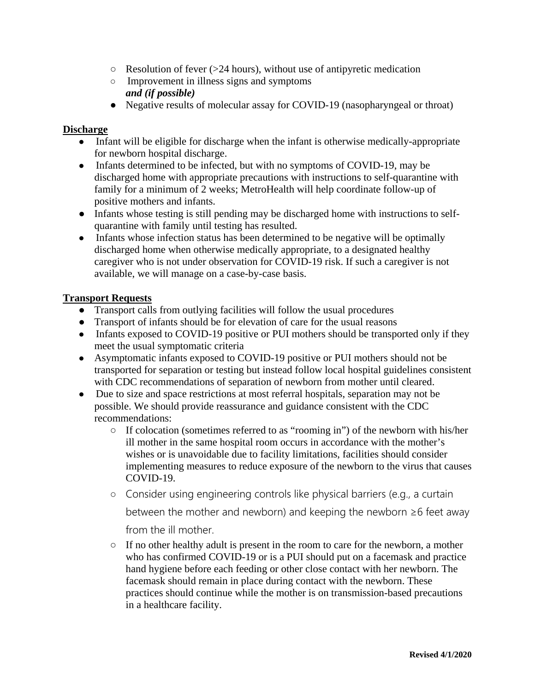- $\circ$  Resolution of fever (>24 hours), without use of antipyretic medication
- Improvement in illness signs and symptoms *and (if possible)*
- Negative results of molecular assay for COVID-19 (nasopharyngeal or throat)

### **Discharge**

- Infant will be eligible for discharge when the infant is otherwise medically-appropriate for newborn hospital discharge.
- Infants determined to be infected, but with no symptoms of COVID-19, may be discharged home with appropriate precautions with instructions to self-quarantine with family for a minimum of 2 weeks; MetroHealth will help coordinate follow-up of positive mothers and infants.
- ● Infants whose testing is still pending may be discharged home with instructions to self-quarantine with family until testing has resulted.
- caregiver who is not under observation for COVID-19 risk. If such a caregiver is not • Infants whose infection status has been determined to be negative will be optimally discharged home when otherwise medically appropriate, to a designated healthy available, we will manage on a case-by-case basis.

### **Transport Requests**

- Transport calls from outlying facilities will follow the usual procedures
- Transport of infants should be for elevation of care for the usual reasons
- Infants exposed to COVID-19 positive or PUI mothers should be transported only if they meet the usual symptomatic criteria
- with CDC recommendations of separation of newborn from mother until cleared. ● Asymptomatic infants exposed to COVID-19 positive or PUI mothers should not be transported for separation or testing but instead follow local hospital guidelines consistent
- Due to size and space restrictions at most referral hospitals, separation may not be possible. We should provide reassurance and guidance consistent with the CDC recommendations:
	- implementing measures to reduce exposure of the newborn to the virus that causes ○ If colocation (sometimes referred to as "rooming in") of the newborn with his/her ill mother in the same hospital room occurs in accordance with the mother's wishes or is unavoidable due to facility limitations, facilities should consider COVID-19.
	- Consider using engineering controls like physical barriers (e.g., a curtain

between the mother and newborn) and keeping the newborn ≥6 feet away

from the ill mother.

 ○ If no other healthy adult is present in the room to care for the newborn, a mother who has confirmed COVID-19 or is a PUI should put on a facemask and practice hand hygiene before each feeding or other close contact with her newborn. The facemask should remain in place during contact with the newborn. These practices should continue while the mother is on transmission-based precautions in a healthcare facility.